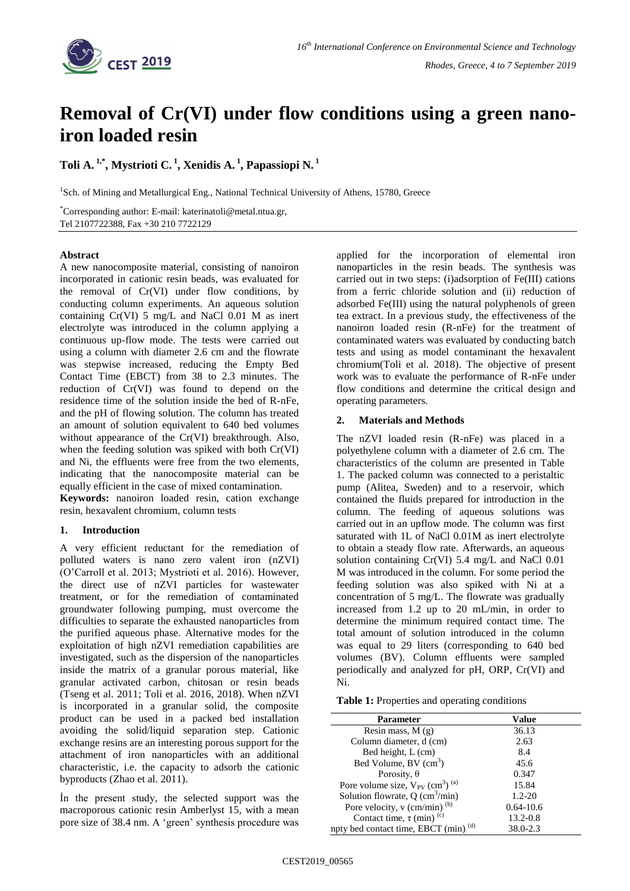

# **Removal of Cr(VI) under flow conditions using a green nanoiron loaded resin**

## **Toli A. 1,\* , Mystrioti C. <sup>1</sup> , Xenidis A. <sup>1</sup> , Papassiopi N. <sup>1</sup>**

<sup>1</sup>Sch. of Mining and Metallurgical Eng., National Technical University of Athens, 15780, Greece

\*Corresponding author: E-mail: katerinatoli@metal.ntua.gr, Tel 2107722388, Fax +30 210 7722129

#### **Abstract**

A new nanocomposite material, consisting of nanoiron incorporated in cationic resin beads, was evaluated for the removal of Cr(VI) under flow conditions, by conducting column experiments. An aqueous solution containing Cr(VI) 5 mg/L and NaCl 0.01 M as inert electrolyte was introduced in the column applying a continuous up-flow mode. The tests were carried out using a column with diameter 2.6 cm and the flowrate was stepwise increased, reducing the Empty Bed Contact Time (EBCT) from 38 to 2.3 minutes. The reduction of Cr(VI) was found to depend on the residence time of the solution inside the bed of R-nFe, and the pH of flowing solution. The column has treated an amount of solution equivalent to 640 bed volumes without appearance of the Cr(VI) breakthrough. Also, when the feeding solution was spiked with both Cr(VI) and Ni, the effluents were free from the two elements, indicating that the nanocomposite material can be equally efficient in the case of mixed contamination.

**Keywords:** nanoiron loaded resin, cation exchange resin, hexavalent chromium, column tests

### **1. Introduction**

A very efficient reductant for the remediation of polluted waters is nano zero valent iron (nZVI) (O'Carroll et al. 2013; Mystrioti et al. 2016). However, the direct use of nZVI particles for wastewater treatment, or for the remediation of contaminated groundwater following pumping, must overcome the difficulties to separate the exhausted nanoparticles from the purified aqueous phase. Alternative modes for the exploitation of high nZVI remediation capabilities are investigated, such as the dispersion of the nanoparticles inside the matrix of a granular porous material, like granular activated carbon, chitosan or resin beads (Tseng et al. 2011; Toli et al. 2016, 2018). When nZVI is incorporated in a granular solid, the composite product can be used in a packed bed installation avoiding the solid/liquid separation step. Cationic exchange resins are an interesting porous support for the attachment of iron nanoparticles with an additional characteristic, i.e. the capacity to adsorb the cationic byproducts (Zhao et al. 2011).

İn the present study, the selected support was the macroporous cationic resin Amberlyst 15, with a mean pore size of 38.4 nm. A 'green' synthesis procedure was

applied for the incorporation of elemental iron nanoparticles in the resin beads. The synthesis was carried out in two steps: (i)adsorption of Fe(III) cations from a ferric chloride solution and (ii) reduction of adsorbed Fe(III) using the natural polyphenols of green tea extract. In a previous study, the effectiveness of the nanoiron loaded resin (R-nFe) for the treatment of contaminated waters was evaluated by conducting batch tests and using as model contaminant the hexavalent chromium(Toli et al. 2018). The objective of present work was to evaluate the performance of R-nFe under flow conditions and determine the critical design and operating parameters.

#### **2. Materials and Methods**

The nZVI loaded resin (R-nFe) was placed in a polyethylene column with a diameter of 2.6 cm. The characteristics of the column are presented in Table 1. The packed column was connected to a peristaltic pump (Alitea, Sweden) and to a reservoir, which contained the fluids prepared for introduction in the column. The feeding of aqueous solutions was carried out in an upflow mode. The column was first saturated with 1L of NaCl 0.01M as inert electrolyte to obtain a steady flow rate. Afterwards, an aqueous solution containing Cr(VI) 5.4 mg/L and NaCl 0.01 M was introduced in the column. For some period the feeding solution was also spiked with Ni at a concentration of 5 mg/L. The flowrate was gradually increased from 1.2 up to 20 mL/min, in order to determine the minimum required contact time. The total amount of solution introduced in the column was equal to 29 liters (corresponding to 640 bed volumes (BV). Column effluents were sampled periodically and analyzed for pH, ORP, Cr(VI) and Ni.

**Table 1:** Properties and operating conditions

| Parameter                                                    | Value         |
|--------------------------------------------------------------|---------------|
| Resin mass, $M(g)$                                           | 36.13         |
| Column diameter, d (cm)                                      | 2.63          |
| Bed height, L (cm)                                           | 8.4           |
| Bed Volume, BV (cm <sup>3</sup> )                            | 45.6          |
| Porosity, $\theta$                                           | 0.347         |
| Pore volume size, $V_{PV}$ (cm <sup>3</sup> ) <sup>(a)</sup> | 15.84         |
| Solution flowrate, $Q$ (cm <sup>3</sup> /min)                | $1.2 - 20$    |
| Pore velocity, $v$ (cm/min) <sup>(b)</sup>                   | $0.64 - 10.6$ |
| Contact time, $\tau$ (min) <sup>(c)</sup>                    | $13.2 - 0.8$  |
| npty bed contact time, EBCT (min) <sup>(d)</sup>             | 38.0-2.3      |